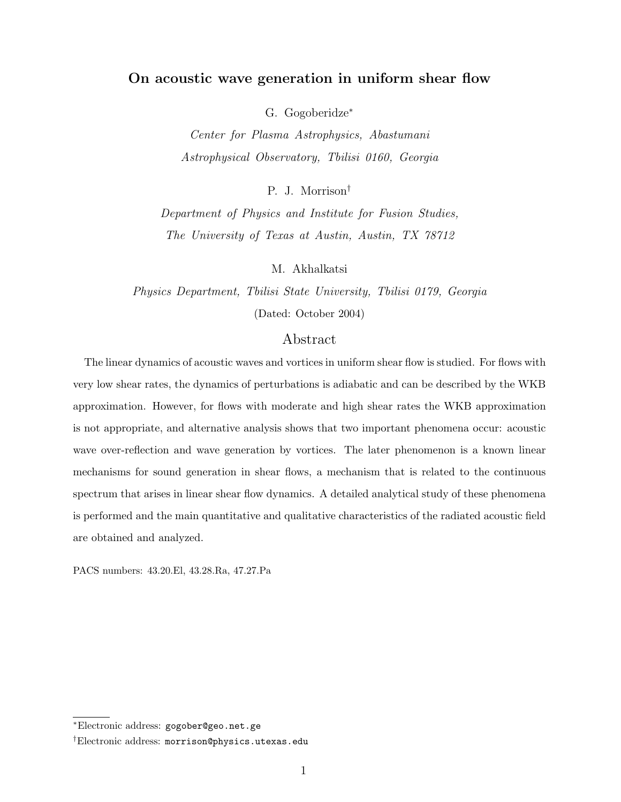# On acoustic wave generation in uniform shear flow

G. Gogoberidze<sup>∗</sup>

*Center for Plasma Astrophysics, Abastumani Astrophysical Observatory, Tbilisi 0160, Georgia*

P. J. Morrison†

*Department of Physics and Institute for Fusion Studies, The University of Texas at Austin, Austin, TX 78712*

M. Akhalkatsi

*Physics Department, Tbilisi State University, Tbilisi 0179, Georgia*

(Dated: October 2004)

# Abstract

The linear dynamics of acoustic waves and vortices in uniform shear flow is studied. For flows with very low shear rates, the dynamics of perturbations is adiabatic and can be described by the WKB approximation. However, for flows with moderate and high shear rates the WKB approximation is not appropriate, and alternative analysis shows that two important phenomena occur: acoustic wave over-reflection and wave generation by vortices. The later phenomenon is a known linear mechanisms for sound generation in shear flows, a mechanism that is related to the continuous spectrum that arises in linear shear flow dynamics. A detailed analytical study of these phenomena is performed and the main quantitative and qualitative characteristics of the radiated acoustic field are obtained and analyzed.

PACS numbers: 43.20.El, 43.28.Ra, 47.27.Pa

<sup>∗</sup>Electronic address: gogober@geo.net.ge

<sup>†</sup>Electronic address: morrison@physics.utexas.edu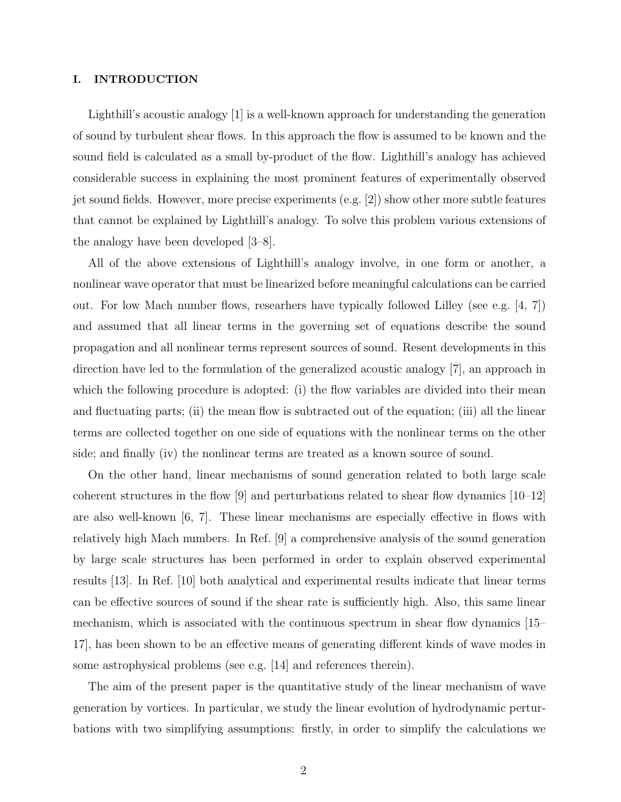### I. INTRODUCTION

Lighthill's acoustic analogy |1| is a well-known approach for understanding the generation of sound by turbulent shear flows. In this approach the flow is assumed to be known and the sound field is calculated as a small by-product of the flow. Lighthill's analogy has achieved considerable success in explaining the most prominent features of experimentally observed jet sound fields. However, more precise experiments (e.g. [2]) show other more subtle features that cannot be explained by Lighthill's analogy. To solve this problem various extensions of the analogy have been developed [3–8].

All of the above extensions of Lighthill's analogy involve, in one form or another, a nonlinear wave operator that must be linearized before meaningful calculations can be carried out. For low Mach number flows, researhers have typically followed Lilley (see e.g. [4, 7]) and assumed that all linear terms in the governing set of equations describe the sound propagation and all nonlinear terms represent sources of sound. Resent developments in this direction have led to the formulation of the generalized acoustic analogy [7], an approach in which the following procedure is adopted: (i) the flow variables are divided into their mean and fluctuating parts; (ii) the mean flow is subtracted out of the equation; (iii) all the linear terms are collected together on one side of equations with the nonlinear terms on the other side; and finally (iv) the nonlinear terms are treated as a known source of sound.

On the other hand, linear mechanisms of sound generation related to both large scale coherent structures in the flow  $|9|$  and perturbations related to shear flow dynamics  $|10-12|$ are also well-known [6, 7]. These linear mechanisms are especially effective in flows with relatively high Mach numbers. In Ref. [9] a comprehensive analysis of the sound generation by large scale structures has been performed in order to explain observed experimental results [13]. In Ref. [10] both analytical and experimental results indicate that linear terms can be effective sources of sound if the shear rate is sufficiently high. Also, this same linear mechanism, which is associated with the continuous spectrum in shear flow dynamics [15– 17], has been shown to be an effective means of generating different kinds of wave modes in some astrophysical problems (see e.g. [14] and references therein).

The aim of the present paper is the quantitative study of the linear mechanism of wave generation by vortices. In particular, we study the linear evolution of hydrodynamic perturbations with two simplifying assumptions: firstly, in order to simplify the calculations we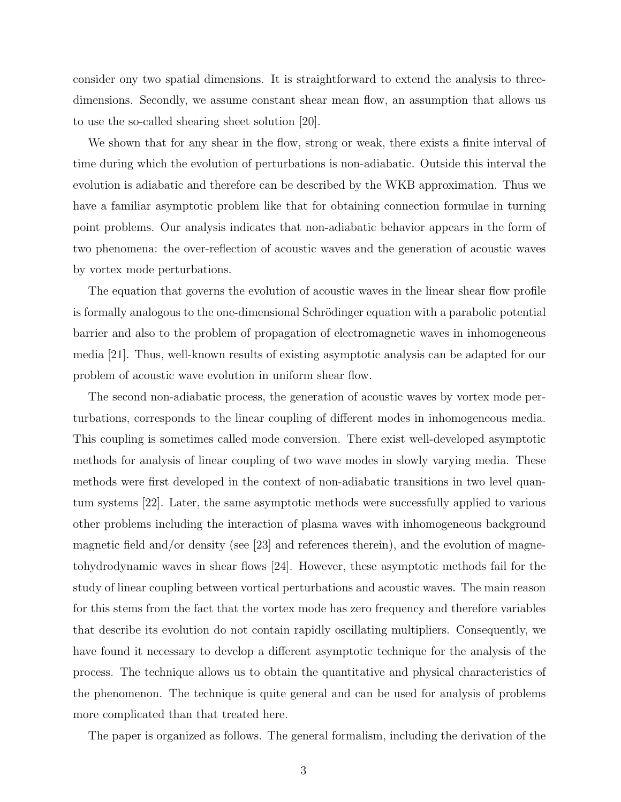consider ony two spatial dimensions. It is straightforward to extend the analysis to threedimensions. Secondly, we assume constant shear mean flow, an assumption that allows us to use the so-called shearing sheet solution [20].

We shown that for any shear in the flow, strong or weak, there exists a finite interval of time during which the evolution of perturbations is non-adiabatic. Outside this interval the evolution is adiabatic and therefore can be described by the WKB approximation. Thus we have a familiar asymptotic problem like that for obtaining connection formulae in turning point problems. Our analysis indicates that non-adiabatic behavior appears in the form of two phenomena: the over-reflection of acoustic waves and the generation of acoustic waves by vortex mode perturbations.

The equation that governs the evolution of acoustic waves in the linear shear flow profile is formally analogous to the one-dimensional Schrödinger equation with a parabolic potential barrier and also to the problem of propagation of electromagnetic waves in inhomogeneous media [21]. Thus, well-known results of existing asymptotic analysis can be adapted for our problem of acoustic wave evolution in uniform shear flow.

The second non-adiabatic process, the generation of acoustic waves by vortex mode perturbations, corresponds to the linear coupling of different modes in inhomogeneous media. This coupling is sometimes called mode conversion. There exist well-developed asymptotic methods for analysis of linear coupling of two wave modes in slowly varying media. These methods were first developed in the context of non-adiabatic transitions in two level quantum systems [22]. Later, the same asymptotic methods were successfully applied to various other problems including the interaction of plasma waves with inhomogeneous background magnetic field and/or density (see [23] and references therein), and the evolution of magnetohydrodynamic waves in shear flows [24]. However, these asymptotic methods fail for the study of linear coupling between vortical perturbations and acoustic waves. The main reason for this stems from the fact that the vortex mode has zero frequency and therefore variables that describe its evolution do not contain rapidly oscillating multipliers. Consequently, we have found it necessary to develop a different asymptotic technique for the analysis of the process. The technique allows us to obtain the quantitative and physical characteristics of the phenomenon. The technique is quite general and can be used for analysis of problems more complicated than that treated here.

The paper is organized as follows. The general formalism, including the derivation of the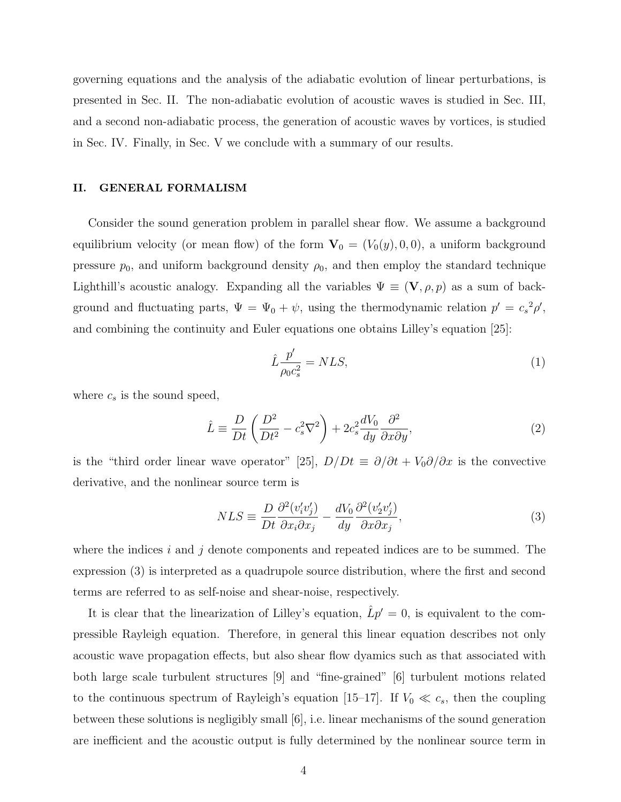governing equations and the analysis of the adiabatic evolution of linear perturbations, is presented in Sec. II. The non-adiabatic evolution of acoustic waves is studied in Sec. III, and a second non-adiabatic process, the generation of acoustic waves by vortices, is studied in Sec. IV. Finally, in Sec. V we conclude with a summary of our results.

## II. GENERAL FORMALISM

Consider the sound generation problem in parallel shear flow. We assume a background equilibrium velocity (or mean flow) of the form  $\mathbf{V}_0 = (V_0(y), 0, 0)$ , a uniform background pressure  $p_0$ , and uniform background density  $\rho_0$ , and then employ the standard technique Lighthill's acoustic analogy. Expanding all the variables  $\Psi \equiv (\mathbf{V}, \rho, p)$  as a sum of background and fluctuating parts,  $\Psi = \Psi_0 + \psi$ , using the thermodynamic relation  $p' = c_s^2 \rho'$ , and combining the continuity and Euler equations one obtains Lilley's equation [25]:

$$
\hat{L}\frac{p'}{\rho_0 c_s^2} = NLS,\tag{1}
$$

where  $c_s$  is the sound speed,

$$
\hat{L} \equiv \frac{D}{Dt} \left( \frac{D^2}{Dt^2} - c_s^2 \nabla^2 \right) + 2c_s^2 \frac{dV_0}{dy} \frac{\partial^2}{\partial x \partial y},\tag{2}
$$

is the "third order linear wave operator" [25],  $D/Dt \equiv \partial/\partial t + V_0 \partial/\partial x$  is the convective derivative, and the nonlinear source term is

$$
NLS \equiv \frac{D}{Dt} \frac{\partial^2 (v_i' v_j')}{\partial x_i \partial x_j} - \frac{dV_0}{dy} \frac{\partial^2 (v_2' v_j')}{\partial x \partial x_j},\tag{3}
$$

where the indices  $i$  and  $j$  denote components and repeated indices are to be summed. The expression (3) is interpreted as a quadrupole source distribution, where the first and second terms are referred to as self-noise and shear-noise, respectively.

It is clear that the linearization of Lilley's equation,  $\hat{L}p' = 0$ , is equivalent to the compressible Rayleigh equation. Therefore, in general this linear equation describes not only acoustic wave propagation effects, but also shear flow dyamics such as that associated with both large scale turbulent structures [9] and "fine-grained" [6] turbulent motions related to the continuous spectrum of Rayleigh's equation [15–17]. If  $V_0 \ll c_s$ , then the coupling between these solutions is negligibly small [6], i.e. linear mechanisms of the sound generation are inefficient and the acoustic output is fully determined by the nonlinear source term in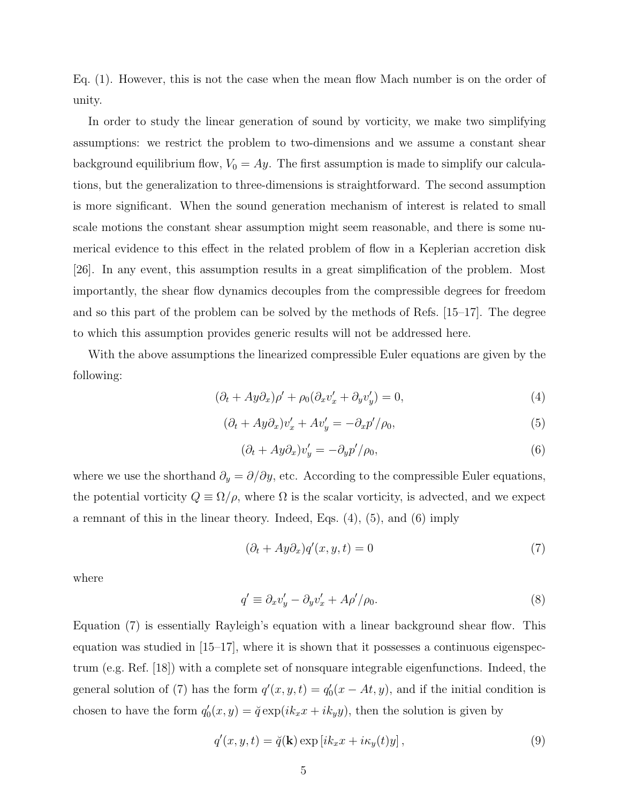Eq. (1). However, this is not the case when the mean flow Mach number is on the order of unity.

In order to study the linear generation of sound by vorticity, we make two simplifying assumptions: we restrict the problem to two-dimensions and we assume a constant shear background equilibrium flow,  $V_0 = Ay$ . The first assumption is made to simplify our calculations, but the generalization to three-dimensions is straightforward. The second assumption is more significant. When the sound generation mechanism of interest is related to small scale motions the constant shear assumption might seem reasonable, and there is some numerical evidence to this effect in the related problem of flow in a Keplerian accretion disk [26]. In any event, this assumption results in a great simplification of the problem. Most importantly, the shear flow dynamics decouples from the compressible degrees for freedom and so this part of the problem can be solved by the methods of Refs. [15–17]. The degree to which this assumption provides generic results will not be addressed here.

With the above assumptions the linearized compressible Euler equations are given by the following:

$$
(\partial_t + Ay \partial_x)\rho' + \rho_0(\partial_x v'_x + \partial_y v'_y) = 0,
$$
\n<sup>(4)</sup>

$$
(\partial_t + Ay \partial_x) v'_x + Av'_y = -\partial_x p'/\rho_0,\tag{5}
$$

$$
(\partial_t + Ay \partial_x) v'_y = -\partial_y p'/\rho_0,\tag{6}
$$

where we use the shorthand  $\partial_y = \partial/\partial y$ , etc. According to the compressible Euler equations, the potential vorticity  $Q \equiv \Omega/\rho$ , where  $\Omega$  is the scalar vorticity, is advected, and we expect a remnant of this in the linear theory. Indeed, Eqs.  $(4)$ ,  $(5)$ , and  $(6)$  imply

$$
(\partial_t + Ay \partial_x) q'(x, y, t) = 0 \tag{7}
$$

where

$$
q' \equiv \partial_x v'_y - \partial_y v'_x + A\rho'/\rho_0. \tag{8}
$$

Equation (7) is essentially Rayleigh's equation with a linear background shear flow. This equation was studied in  $[15-17]$ , where it is shown that it possesses a continuous eigenspectrum (e.g. Ref. [18]) with a complete set of nonsquare integrable eigenfunctions. Indeed, the general solution of (7) has the form  $q'(x, y, t) = q'_0(x - At, y)$ , and if the initial condition is chosen to have the form  $q'_0(x, y) = \breve{q} \exp(ik_x x + ik_y y)$ , then the solution is given by

$$
q'(x, y, t) = \breve{q}(\mathbf{k}) \exp[i k_x x + i \kappa_y(t) y], \qquad (9)
$$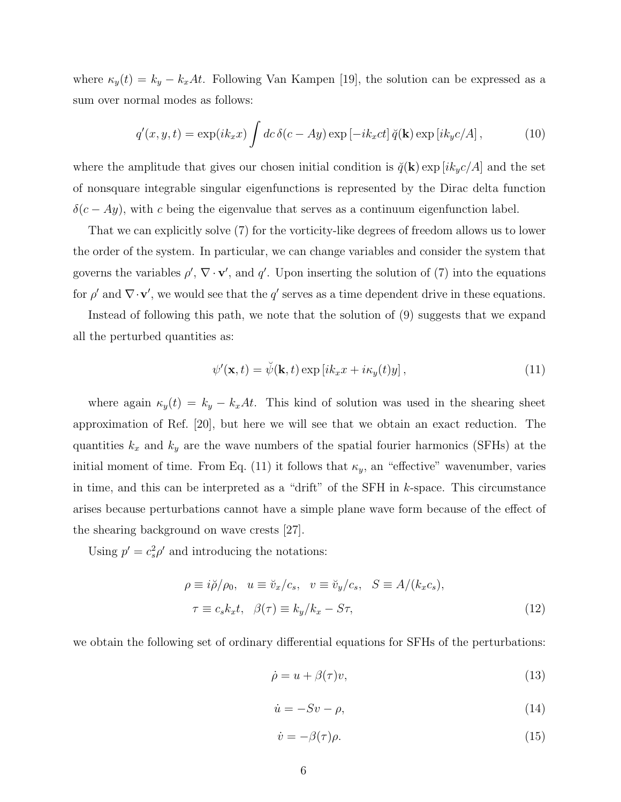where  $\kappa_y(t) = k_y - k_xAt$ . Following Van Kampen [19], the solution can be expressed as a sum over normal modes as follows:

$$
q'(x, y, t) = \exp(ik_x x) \int dc \,\delta(c - Ay) \exp[-ik_x ct] \,\breve{q}(\mathbf{k}) \exp[i k_y c/A], \tag{10}
$$

where the amplitude that gives our chosen initial condition is  $\breve{q}(\mathbf{k}) \exp[i k_y c/A]$  and the set of nonsquare integrable singular eigenfunctions is represented by the Dirac delta function  $\delta(c - Ay)$ , with c being the eigenvalue that serves as a continuum eigenfunction label.

That we can explicitly solve (7) for the vorticity-like degrees of freedom allows us to lower the order of the system. In particular, we can change variables and consider the system that governs the variables  $\rho'$ ,  $\nabla \cdot \mathbf{v}'$ , and  $q'$ . Upon inserting the solution of (7) into the equations for  $\rho'$  and  $\nabla \cdot \mathbf{v}'$ , we would see that the  $q'$  serves as a time dependent drive in these equations.

Instead of following this path, we note that the solution of (9) suggests that we expand all the perturbed quantities as:

$$
\psi'(\mathbf{x},t) = \check{\psi}(\mathbf{k},t) \exp[i k_x x + i \kappa_y(t) y], \qquad (11)
$$

where again  $\kappa_y(t) = k_y - k_xAt$ . This kind of solution was used in the shearing sheet approximation of Ref. [20], but here we will see that we obtain an exact reduction. The quantities  $k_x$  and  $k_y$  are the wave numbers of the spatial fourier harmonics (SFHs) at the initial moment of time. From Eq. (11) it follows that  $\kappa_y$ , an "effective" wavenumber, varies in time, and this can be interpreted as a "drift" of the SFH in  $k$ -space. This circumstance arises because perturbations cannot have a simple plane wave form because of the effect of the shearing background on wave crests [27].

Using  $p' = c_s^2 \rho'$  and introducing the notations:

$$
\rho \equiv i\breve{\rho}/\rho_0, \quad u \equiv \breve{v}_x/c_s, \quad v \equiv \breve{v}_y/c_s, \quad S \equiv A/(k_x c_s),
$$
  

$$
\tau \equiv c_s k_x t, \quad \beta(\tau) \equiv k_y/k_x - S\tau,
$$
 (12)

we obtain the following set of ordinary differential equations for SFHs of the perturbations:

$$
\dot{\rho} = u + \beta(\tau)v,\tag{13}
$$

$$
\dot{u} = -Sv - \rho,\tag{14}
$$

$$
\dot{v} = -\beta(\tau)\rho. \tag{15}
$$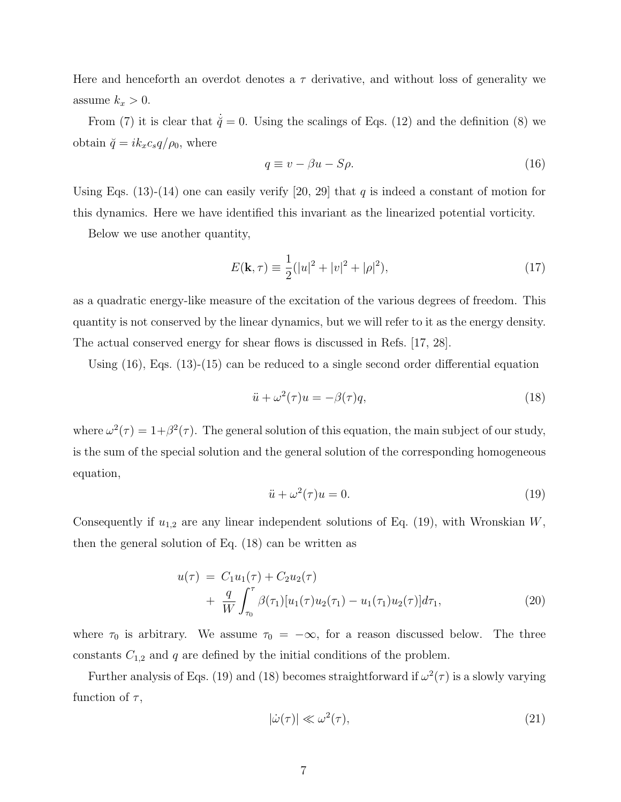Here and henceforth an overdot denotes a  $\tau$  derivative, and without loss of generality we assume  $k_x > 0$ .

From (7) it is clear that  $\dot{\tilde{q}} = 0$ . Using the scalings of Eqs. (12) and the definition (8) we obtain  $\breve{q} = ik_x c_s q/\rho_0$ , where

$$
q \equiv v - \beta u - S\rho. \tag{16}
$$

Using Eqs. (13)-(14) one can easily verify [20, 29] that q is indeed a constant of motion for this dynamics. Here we have identified this invariant as the linearized potential vorticity.

Below we use another quantity,

$$
E(\mathbf{k}, \tau) \equiv \frac{1}{2} (|u|^2 + |v|^2 + |\rho|^2), \tag{17}
$$

as a quadratic energy-like measure of the excitation of the various degrees of freedom. This quantity is not conserved by the linear dynamics, but we will refer to it as the energy density. The actual conserved energy for shear flows is discussed in Refs. [17, 28].

Using (16), Eqs. (13)-(15) can be reduced to a single second order differential equation

$$
\ddot{u} + \omega^2(\tau)u = -\beta(\tau)q,\tag{18}
$$

where  $\omega^2(\tau) = 1 + \beta^2(\tau)$ . The general solution of this equation, the main subject of our study, is the sum of the special solution and the general solution of the corresponding homogeneous equation,

$$
\ddot{u} + \omega^2(\tau)u = 0.\tag{19}
$$

Consequently if  $u_{1,2}$  are any linear independent solutions of Eq. (19), with Wronskian W, then the general solution of Eq. (18) can be written as

$$
u(\tau) = C_1 u_1(\tau) + C_2 u_2(\tau) + \frac{q}{W} \int_{\tau_0}^{\tau} \beta(\tau_1) [u_1(\tau) u_2(\tau_1) - u_1(\tau_1) u_2(\tau)] d\tau_1,
$$
 (20)

where  $\tau_0$  is arbitrary. We assume  $\tau_0 = -\infty$ , for a reason discussed below. The three constants  $C_{1,2}$  and q are defined by the initial conditions of the problem.

Further analysis of Eqs. (19) and (18) becomes straightforward if  $\omega^2(\tau)$  is a slowly varying function of  $\tau$ ,

$$
|\dot{\omega}(\tau)| \ll \omega^2(\tau),\tag{21}
$$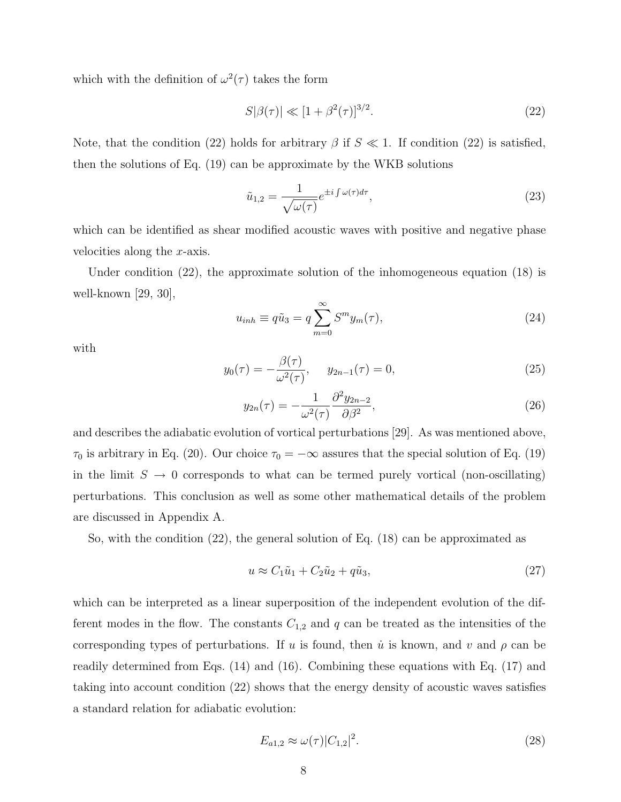which with the definition of  $\omega^2(\tau)$  takes the form

$$
S|\beta(\tau)| \ll [1 + \beta^2(\tau)]^{3/2}.
$$
\n
$$
(22)
$$

Note, that the condition (22) holds for arbitrary  $\beta$  if  $S \ll 1$ . If condition (22) is satisfied, then the solutions of Eq. (19) can be approximate by the WKB solutions

$$
\tilde{u}_{1,2} = \frac{1}{\sqrt{\omega(\tau)}} e^{\pm i \int \omega(\tau) d\tau},\tag{23}
$$

which can be identified as shear modified acoustic waves with positive and negative phase velocities along the x-axis.

Under condition (22), the approximate solution of the inhomogeneous equation (18) is well-known [29, 30],

$$
u_{inh} \equiv q\tilde{u}_3 = q \sum_{m=0}^{\infty} S^m y_m(\tau), \qquad (24)
$$

with

$$
y_0(\tau) = -\frac{\beta(\tau)}{\omega^2(\tau)}, \quad y_{2n-1}(\tau) = 0,
$$
 (25)

$$
y_{2n}(\tau) = -\frac{1}{\omega^2(\tau)} \frac{\partial^2 y_{2n-2}}{\partial \beta^2},\tag{26}
$$

and describes the adiabatic evolution of vortical perturbations [29]. As was mentioned above,  $\tau_0$  is arbitrary in Eq. (20). Our choice  $\tau_0 = -\infty$  assures that the special solution of Eq. (19) in the limit  $S \to 0$  corresponds to what can be termed purely vortical (non-oscillating) perturbations. This conclusion as well as some other mathematical details of the problem are discussed in Appendix A.

So, with the condition (22), the general solution of Eq. (18) can be approximated as

$$
u \approx C_1 \tilde{u}_1 + C_2 \tilde{u}_2 + q \tilde{u}_3,\tag{27}
$$

which can be interpreted as a linear superposition of the independent evolution of the different modes in the flow. The constants  $C_{1,2}$  and q can be treated as the intensities of the corresponding types of perturbations. If u is found, then  $\dot{u}$  is known, and v and  $\rho$  can be readily determined from Eqs. (14) and (16). Combining these equations with Eq. (17) and taking into account condition (22) shows that the energy density of acoustic waves satisfies a standard relation for adiabatic evolution:

$$
E_{a1,2} \approx \omega(\tau) |C_{1,2}|^2. \tag{28}
$$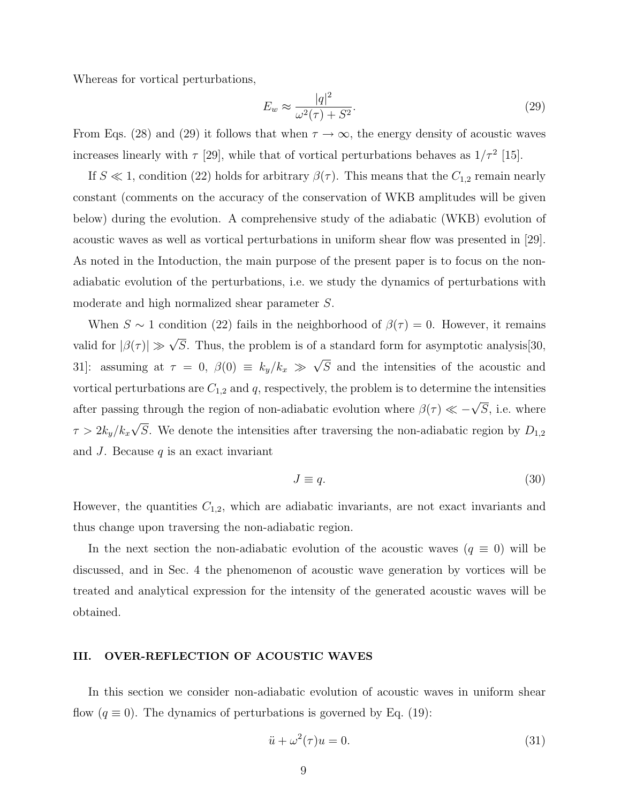Whereas for vortical perturbations,

$$
E_w \approx \frac{|q|^2}{\omega^2(\tau) + S^2}.\tag{29}
$$

From Eqs. (28) and (29) it follows that when  $\tau \to \infty$ , the energy density of acoustic waves increases linearly with  $\tau$  [29], while that of vortical perturbations behaves as  $1/\tau^2$  [15].

If  $S \ll 1$ , condition (22) holds for arbitrary  $\beta(\tau)$ . This means that the  $C_{1,2}$  remain nearly constant (comments on the accuracy of the conservation of WKB amplitudes will be given below) during the evolution. A comprehensive study of the adiabatic (WKB) evolution of acoustic waves as well as vortical perturbations in uniform shear flow was presented in [29]. As noted in the Intoduction, the main purpose of the present paper is to focus on the nonadiabatic evolution of the perturbations, i.e. we study the dynamics of perturbations with moderate and high normalized shear parameter S.

When  $S \sim 1$  condition (22) fails in the neighborhood of  $\beta(\tau) = 0$ . However, it remains valid for  $|\beta(\tau)| \gg \sqrt{S}$ . Thus, the problem is of a standard form for asymptotic analysis[30, 31]: assuming at  $\tau = 0$ ,  $\beta(0) \equiv k_y/k_x \gg \sqrt{S}$  and the intensities of the acoustic and vortical perturbations are  $C_{1,2}$  and  $q$ , respectively, the problem is to determine the intensities after passing through the region of non-adiabatic evolution where  $\beta(\tau) \ll -\sqrt{S}$ , i.e. where  $\tau > 2k_y/k_x\sqrt{S}$ . We denote the intensities after traversing the non-adiabatic region by  $D_{1,2}$ and  $J$ . Because  $q$  is an exact invariant

$$
J \equiv q.\tag{30}
$$

However, the quantities  $C_{1,2}$ , which are adiabatic invariants, are not exact invariants and thus change upon traversing the non-adiabatic region.

In the next section the non-adiabatic evolution of the acoustic waves  $(q \equiv 0)$  will be discussed, and in Sec. 4 the phenomenon of acoustic wave generation by vortices will be treated and analytical expression for the intensity of the generated acoustic waves will be obtained.

#### III. OVER-REFLECTION OF ACOUSTIC WAVES

In this section we consider non-adiabatic evolution of acoustic waves in uniform shear flow  $(q \equiv 0)$ . The dynamics of perturbations is governed by Eq. (19):

$$
\ddot{u} + \omega^2(\tau)u = 0.\tag{31}
$$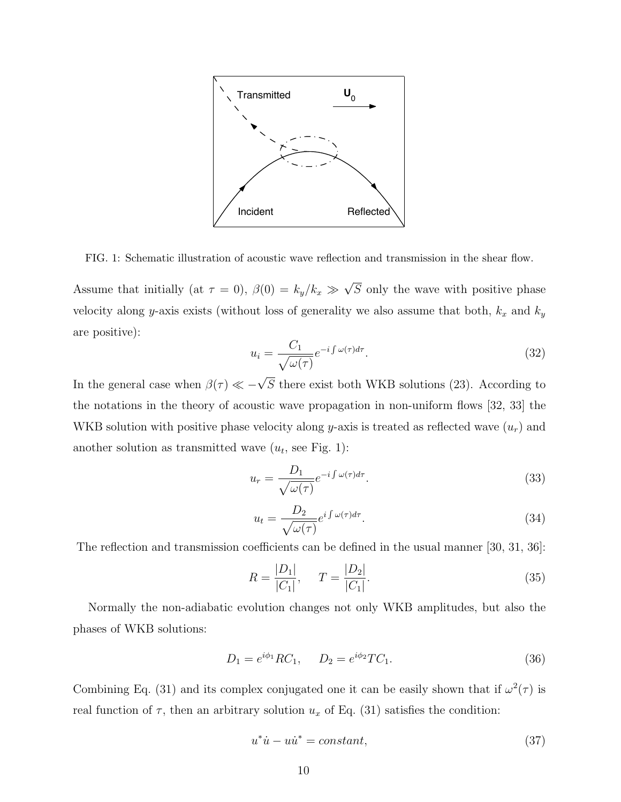

FIG. 1: Schematic illustration of acoustic wave reflection and transmission in the shear flow.

Assume that initially (at  $\tau = 0$ ),  $\beta(0) = k_y/k_x \gg \sqrt{S}$  only the wave with positive phase velocity along y-axis exists (without loss of generality we also assume that both,  $k_x$  and  $k_y$ are positive):

$$
u_i = \frac{C_1}{\sqrt{\omega(\tau)}} e^{-i \int \omega(\tau) d\tau}.
$$
\n(32)

In the general case when  $\beta(\tau) \ll -\sqrt{S}$  there exist both WKB solutions (23). According to the notations in the theory of acoustic wave propagation in non-uniform flows [32, 33] the WKB solution with positive phase velocity along y-axis is treated as reflected wave  $(u_r)$  and another solution as transmitted wave  $(u_t, \text{ see Fig. 1})$ :

$$
u_r = \frac{D_1}{\sqrt{\omega(\tau)}} e^{-i \int \omega(\tau) d\tau}.
$$
\n(33)

$$
u_t = \frac{D_2}{\sqrt{\omega(\tau)}} e^{i \int \omega(\tau) d\tau}.
$$
\n(34)

The reflection and transmission coefficients can be defined in the usual manner [30, 31, 36]:

$$
R = \frac{|D_1|}{|C_1|}, \quad T = \frac{|D_2|}{|C_1|}.
$$
\n(35)

Normally the non-adiabatic evolution changes not only WKB amplitudes, but also the phases of WKB solutions:

$$
D_1 = e^{i\phi_1} R C_1, \quad D_2 = e^{i\phi_2} T C_1. \tag{36}
$$

Combining Eq. (31) and its complex conjugated one it can be easily shown that if  $\omega^2(\tau)$  is real function of  $\tau$ , then an arbitrary solution  $u_x$  of Eq. (31) satisfies the condition:

$$
u^* \dot{u} - u \dot{u}^* = constant,\tag{37}
$$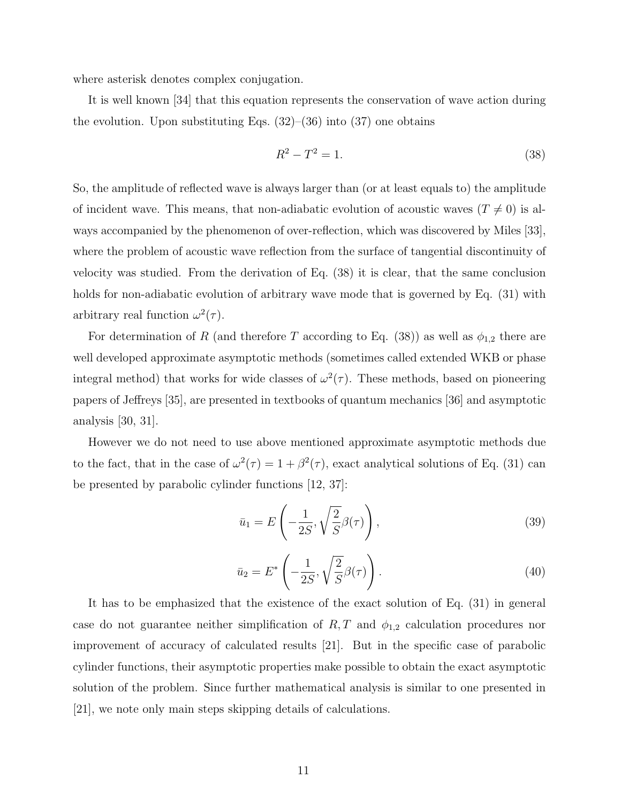where asterisk denotes complex conjugation.

It is well known [34] that this equation represents the conservation of wave action during the evolution. Upon substituting Eqs.  $(32)$ – $(36)$  into  $(37)$  one obtains

$$
R^2 - T^2 = 1.\t\t(38)
$$

So, the amplitude of reflected wave is always larger than (or at least equals to) the amplitude of incident wave. This means, that non-adiabatic evolution of acoustic waves  $(T \neq 0)$  is always accompanied by the phenomenon of over-reflection, which was discovered by Miles [33], where the problem of acoustic wave reflection from the surface of tangential discontinuity of velocity was studied. From the derivation of Eq. (38) it is clear, that the same conclusion holds for non-adiabatic evolution of arbitrary wave mode that is governed by Eq.  $(31)$  with arbitrary real function  $\omega^2(\tau)$ .

For determination of R (and therefore T according to Eq. (38)) as well as  $\phi_{1,2}$  there are well developed approximate asymptotic methods (sometimes called extended WKB or phase integral method) that works for wide classes of  $\omega^2(\tau)$ . These methods, based on pioneering papers of Jeffreys [35], are presented in textbooks of quantum mechanics [36] and asymptotic analysis [30, 31].

However we do not need to use above mentioned approximate asymptotic methods due to the fact, that in the case of  $\omega^2(\tau) = 1 + \beta^2(\tau)$ , exact analytical solutions of Eq. (31) can be presented by parabolic cylinder functions [12, 37]:

$$
\bar{u}_1 = E\left(-\frac{1}{2S}, \sqrt{\frac{2}{S}}\beta(\tau)\right),\tag{39}
$$

$$
\bar{u}_2 = E^* \left( -\frac{1}{2S}, \sqrt{\frac{2}{S}} \beta(\tau) \right). \tag{40}
$$

It has to be emphasized that the existence of the exact solution of Eq. (31) in general case do not guarantee neither simplification of  $R, T$  and  $\phi_{1,2}$  calculation procedures nor improvement of accuracy of calculated results [21]. But in the specific case of parabolic cylinder functions, their asymptotic properties make possible to obtain the exact asymptotic solution of the problem. Since further mathematical analysis is similar to one presented in [21], we note only main steps skipping details of calculations.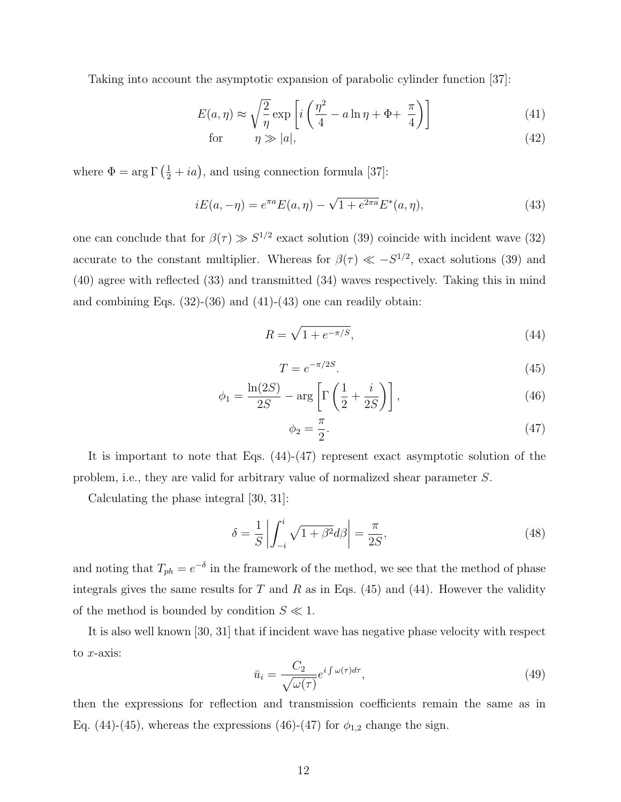Taking into account the asymptotic expansion of parabolic cylinder function [37]:

$$
E(a,\eta) \approx \sqrt{\frac{2}{\eta}} \exp\left[i\left(\frac{\eta^2}{4} - a\ln\eta + \Phi + \frac{\pi}{4}\right)\right]
$$
(41)

for 
$$
\eta \gg |a|
$$
, (42)

where  $\Phi = \arg \Gamma(\frac{1}{2} + ia)$ , and using connection formula [37]:

$$
iE(a, -\eta) = e^{\pi a} E(a, \eta) - \sqrt{1 + e^{2\pi a}} E^*(a, \eta), \qquad (43)
$$

one can conclude that for  $\beta(\tau) \gg S^{1/2}$  exact solution (39) coincide with incident wave (32) accurate to the constant multiplier. Whereas for  $\beta(\tau) \ll -S^{1/2}$ , exact solutions (39) and (40) agree with reflected (33) and transmitted (34) waves respectively. Taking this in mind and combining Eqs.  $(32)-(36)$  and  $(41)-(43)$  one can readily obtain:

$$
R = \sqrt{1 + e^{-\pi/S}},\tag{44}
$$

$$
T = e^{-\pi/2S}.\tag{45}
$$

$$
\phi_1 = \frac{\ln(2S)}{2S} - \arg\left[\Gamma\left(\frac{1}{2} + \frac{i}{2S}\right)\right],\tag{46}
$$

$$
\phi_2 = \frac{\pi}{2}.\tag{47}
$$

It is important to note that Eqs. (44)-(47) represent exact asymptotic solution of the problem, i.e., they are valid for arbitrary value of normalized shear parameter S.

Calculating the phase integral [30, 31]:

$$
\delta = \frac{1}{S} \left| \int_{-i}^{i} \sqrt{1 + \beta^2} d\beta \right| = \frac{\pi}{2S},\tag{48}
$$

and noting that  $T_{ph} = e^{-\delta}$  in the framework of the method, we see that the method of phase integrals gives the same results for T and R as in Eqs.  $(45)$  and  $(44)$ . However the validity of the method is bounded by condition  $S \ll 1$ .

It is also well known [30, 31] that if incident wave has negative phase velocity with respect to  $x$ -axis:

$$
\bar{u}_i = \frac{C_2}{\sqrt{\omega(\tau)}} e^{i \int \omega(\tau) d\tau},\tag{49}
$$

then the expressions for reflection and transmission coefficients remain the same as in Eq. (44)-(45), whereas the expressions (46)-(47) for  $\phi_{1,2}$  change the sign.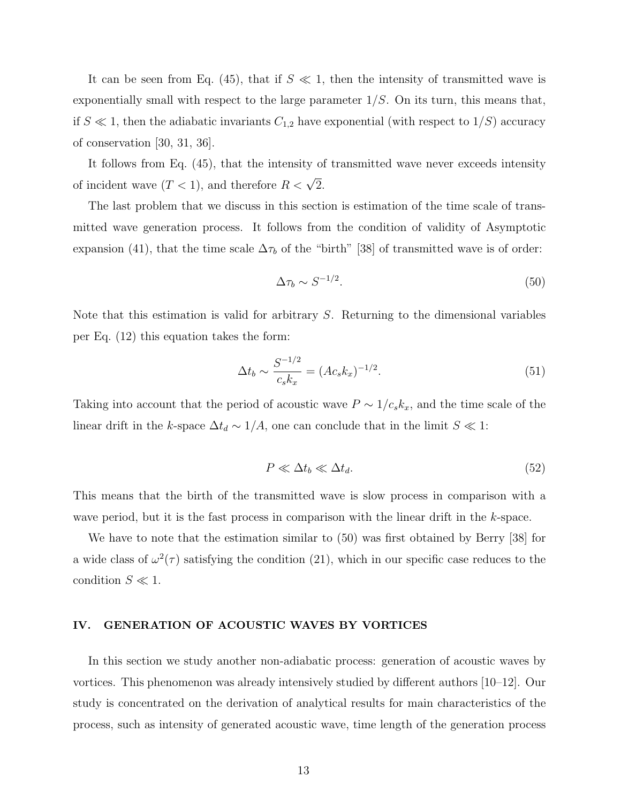It can be seen from Eq. (45), that if  $S \ll 1$ , then the intensity of transmitted wave is exponentially small with respect to the large parameter  $1/S$ . On its turn, this means that, if  $S \ll 1$ , then the adiabatic invariants  $C_{1,2}$  have exponential (with respect to  $1/S$ ) accuracy of conservation [30, 31, 36].

It follows from Eq. (45), that the intensity of transmitted wave never exceeds intensity of incident wave  $(T < 1)$ , and therefore  $R < \sqrt{2}$ .

The last problem that we discuss in this section is estimation of the time scale of transmitted wave generation process. It follows from the condition of validity of Asymptotic expansion (41), that the time scale  $\Delta \tau_b$  of the "birth" [38] of transmitted wave is of order:

$$
\Delta \tau_b \sim S^{-1/2}.\tag{50}
$$

Note that this estimation is valid for arbitrary S. Returning to the dimensional variables per Eq. (12) this equation takes the form:

$$
\Delta t_b \sim \frac{S^{-1/2}}{c_s k_x} = (Ac_s k_x)^{-1/2}.
$$
\n(51)

Taking into account that the period of acoustic wave  $P \sim 1/c_s k_x$ , and the time scale of the linear drift in the k-space  $\Delta t_d \sim 1/A$ , one can conclude that in the limit  $S \ll 1$ :

$$
P \ll \Delta t_b \ll \Delta t_d. \tag{52}
$$

This means that the birth of the transmitted wave is slow process in comparison with a wave period, but it is the fast process in comparison with the linear drift in the k-space.

We have to note that the estimation similar to (50) was first obtained by Berry [38] for a wide class of  $\omega^2(\tau)$  satisfying the condition (21), which in our specific case reduces to the condition  $S \ll 1$ .

# IV. GENERATION OF ACOUSTIC WAVES BY VORTICES

In this section we study another non-adiabatic process: generation of acoustic waves by vortices. This phenomenon was already intensively studied by different authors [10–12]. Our study is concentrated on the derivation of analytical results for main characteristics of the process, such as intensity of generated acoustic wave, time length of the generation process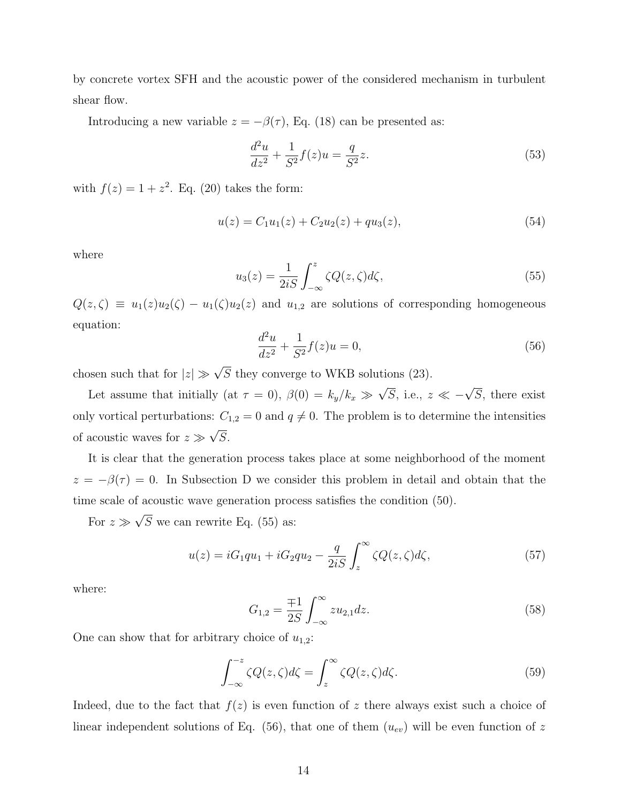by concrete vortex SFH and the acoustic power of the considered mechanism in turbulent shear flow.

Introducing a new variable  $z = -\beta(\tau)$ , Eq. (18) can be presented as:

$$
\frac{d^2u}{dz^2} + \frac{1}{S^2}f(z)u = \frac{q}{S^2}z.
$$
\n(53)

with  $f(z) = 1 + z^2$ . Eq. (20) takes the form:

$$
u(z) = C_1 u_1(z) + C_2 u_2(z) + qu_3(z), \tag{54}
$$

where

$$
u_3(z) = \frac{1}{2iS} \int_{-\infty}^{z} \zeta Q(z, \zeta) d\zeta,
$$
\n(55)

 $Q(z,\zeta) \equiv u_1(z)u_2(\zeta) - u_1(\zeta)u_2(z)$  and  $u_{1,2}$  are solutions of corresponding homogeneous equation:

$$
\frac{d^2u}{dz^2} + \frac{1}{S^2}f(z)u = 0,
$$
\n(56)

chosen such that for  $|z| \gg \sqrt{S}$  they converge to WKB solutions (23).

Let assume that initially (at  $\tau = 0$ ),  $\beta(0) = k_y/k_x \gg \sqrt{S}$ , i.e.,  $z \ll -\sqrt{S}$ , there exist only vortical perturbations:  $C_{1,2} = 0$  and  $q \neq 0$ . The problem is to determine the intensities of acoustic waves for  $z \gg \sqrt{S}$ .

It is clear that the generation process takes place at some neighborhood of the moment  $z = -\beta(\tau) = 0$ . In Subsection D we consider this problem in detail and obtain that the time scale of acoustic wave generation process satisfies the condition (50).

For  $z \gg \sqrt{S}$  we can rewrite Eq. (55) as:

$$
u(z) = iG_1qu_1 + iG_2qu_2 - \frac{q}{2iS} \int_z^{\infty} \zeta Q(z,\zeta)d\zeta,
$$
\n(57)

where:

$$
G_{1,2} = \frac{\mp 1}{2S} \int_{-\infty}^{\infty} z u_{2,1} dz.
$$
 (58)

One can show that for arbitrary choice of  $u_{1,2}$ :

$$
\int_{-\infty}^{-z} \zeta Q(z,\zeta)d\zeta = \int_{z}^{\infty} \zeta Q(z,\zeta)d\zeta.
$$
 (59)

Indeed, due to the fact that  $f(z)$  is even function of z there always exist such a choice of linear independent solutions of Eq. (56), that one of them  $(u_{ev})$  will be even function of z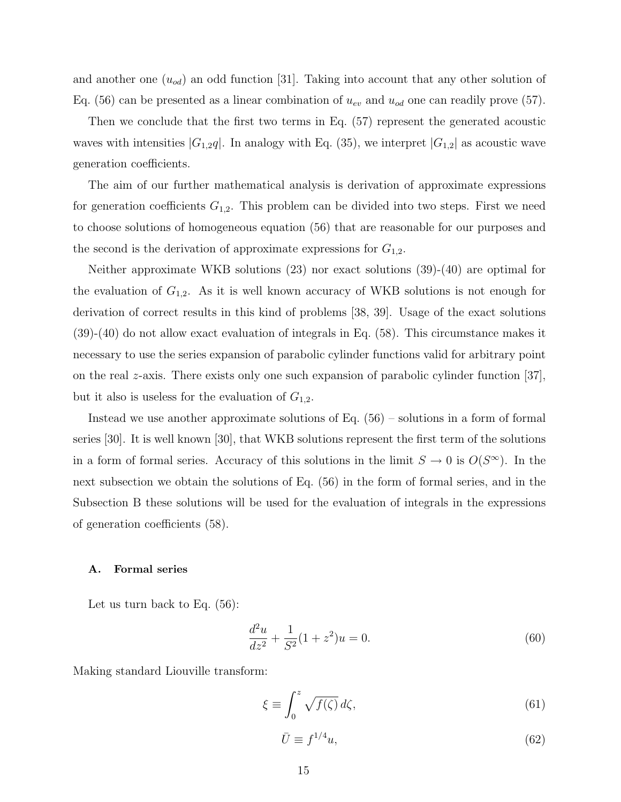and another one  $(u_{od})$  an odd function [31]. Taking into account that any other solution of Eq. (56) can be presented as a linear combination of  $u_{ev}$  and  $u_{od}$  one can readily prove (57).

Then we conclude that the first two terms in Eq. (57) represent the generated acoustic waves with intensities  $|G_{1,2}q|$ . In analogy with Eq. (35), we interpret  $|G_{1,2}|$  as acoustic wave generation coefficients.

The aim of our further mathematical analysis is derivation of approximate expressions for generation coefficients  $G_{1,2}$ . This problem can be divided into two steps. First we need to choose solutions of homogeneous equation (56) that are reasonable for our purposes and the second is the derivation of approximate expressions for  $G_{1,2}$ .

Neither approximate WKB solutions (23) nor exact solutions (39)-(40) are optimal for the evaluation of  $G_{1,2}$ . As it is well known accuracy of WKB solutions is not enough for derivation of correct results in this kind of problems [38, 39]. Usage of the exact solutions (39)-(40) do not allow exact evaluation of integrals in Eq. (58). This circumstance makes it necessary to use the series expansion of parabolic cylinder functions valid for arbitrary point on the real z-axis. There exists only one such expansion of parabolic cylinder function [37], but it also is useless for the evaluation of  $G_{1,2}$ .

Instead we use another approximate solutions of Eq. (56) – solutions in a form of formal series [30]. It is well known [30], that WKB solutions represent the first term of the solutions in a form of formal series. Accuracy of this solutions in the limit  $S \to 0$  is  $O(S^{\infty})$ . In the next subsection we obtain the solutions of Eq. (56) in the form of formal series, and in the Subsection B these solutions will be used for the evaluation of integrals in the expressions of generation coefficients (58).

### A. Formal series

Let us turn back to Eq. (56):

$$
\frac{d^2u}{dz^2} + \frac{1}{S^2}(1+z^2)u = 0.
$$
\n(60)

Making standard Liouville transform:

$$
\xi \equiv \int_0^z \sqrt{f(\zeta)} \, d\zeta,\tag{61}
$$

 $\bar{U} \equiv f^{1/4}u.$  $u,$  (62)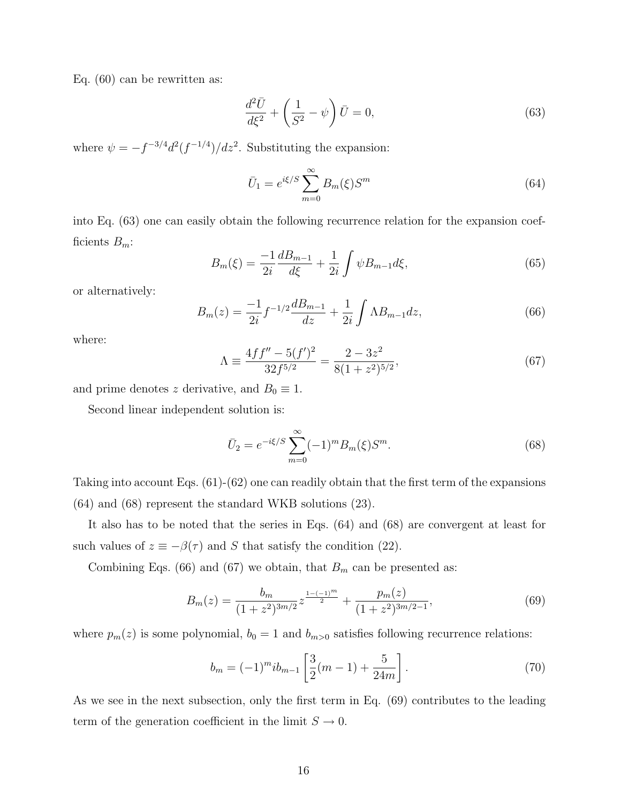Eq. (60) can be rewritten as:

$$
\frac{d^2\bar{U}}{d\xi^2} + \left(\frac{1}{S^2} - \psi\right)\bar{U} = 0,\tag{63}
$$

where  $\psi = -f^{-3/4}d^2(f^{-1/4})/dz^2$ . Substituting the expansion:

$$
\bar{U}_1 = e^{i\xi/S} \sum_{m=0}^{\infty} B_m(\xi) S^m \tag{64}
$$

into Eq. (63) one can easily obtain the following recurrence relation for the expansion coefficients  $B_m$ :

$$
B_m(\xi) = \frac{-1}{2i} \frac{d B_{m-1}}{d \xi} + \frac{1}{2i} \int \psi B_{m-1} d \xi, \tag{65}
$$

or alternatively:

$$
B_m(z) = \frac{-1}{2i} f^{-1/2} \frac{d B_{m-1}}{dz} + \frac{1}{2i} \int \Lambda B_{m-1} dz,
$$
\n(66)

where:

$$
\Lambda \equiv \frac{4ff'' - 5(f')^2}{32f^{5/2}} = \frac{2 - 3z^2}{8(1 + z^2)^{5/2}},\tag{67}
$$

and prime denotes z derivative, and  $B_0 \equiv 1$ .

Second linear independent solution is:

$$
\bar{U}_2 = e^{-i\xi/S} \sum_{m=0}^{\infty} (-1)^m B_m(\xi) S^m.
$$
\n(68)

Taking into account Eqs. (61)-(62) one can readily obtain that the first term of the expansions (64) and (68) represent the standard WKB solutions (23).

It also has to be noted that the series in Eqs. (64) and (68) are convergent at least for such values of  $z \equiv -\beta(\tau)$  and S that satisfy the condition (22).

Combining Eqs. (66) and (67) we obtain, that  $B_m$  can be presented as:

$$
B_m(z) = \frac{b_m}{(1+z^2)^{3m/2}} z^{\frac{1-(-1)^m}{2}} + \frac{p_m(z)}{(1+z^2)^{3m/2-1}},\tag{69}
$$

where  $p_m(z)$  is some polynomial,  $b_0 = 1$  and  $b_{m>0}$  satisfies following recurrence relations:

$$
b_m = (-1)^m i b_{m-1} \left[ \frac{3}{2} (m-1) + \frac{5}{24m} \right].
$$
 (70)

As we see in the next subsection, only the first term in Eq. (69) contributes to the leading term of the generation coefficient in the limit  $S \to 0$ .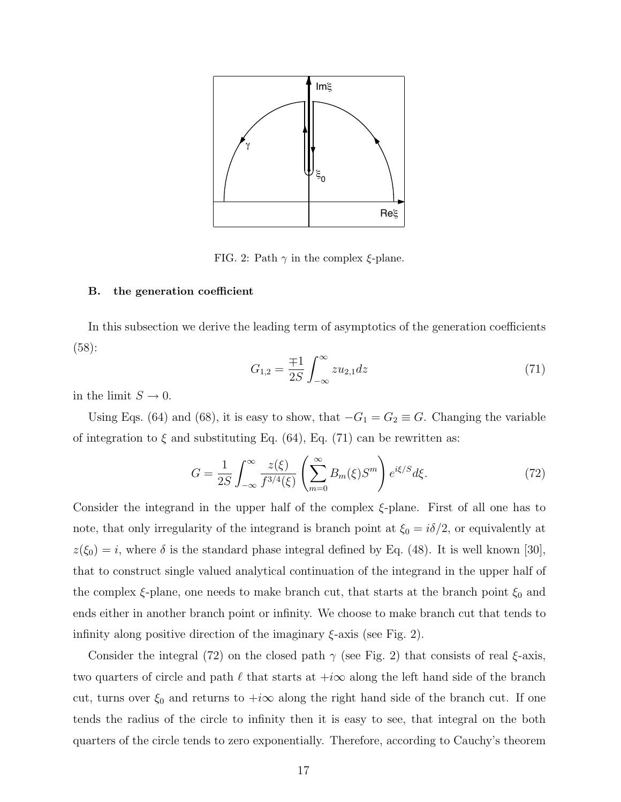

FIG. 2: Path  $\gamma$  in the complex  $\xi$ -plane.

#### B. the generation coefficient

In this subsection we derive the leading term of asymptotics of the generation coefficients (58):

$$
G_{1,2} = \frac{\mp 1}{2S} \int_{-\infty}^{\infty} z u_{2,1} dz
$$
 (71)

in the limit  $S \to 0$ .

Using Eqs. (64) and (68), it is easy to show, that  $-G_1 = G_2 \equiv G$ . Changing the variable of integration to  $\xi$  and substituting Eq. (64), Eq. (71) can be rewritten as:

$$
G = \frac{1}{2S} \int_{-\infty}^{\infty} \frac{z(\xi)}{f^{3/4}(\xi)} \left( \sum_{m=0}^{\infty} B_m(\xi) S^m \right) e^{i\xi/S} d\xi.
$$
 (72)

Consider the integrand in the upper half of the complex ξ-plane. First of all one has to note, that only irregularity of the integrand is branch point at  $\xi_0 = i\delta/2$ , or equivalently at  $z(\xi_0) = i$ , where  $\delta$  is the standard phase integral defined by Eq. (48). It is well known [30], that to construct single valued analytical continuation of the integrand in the upper half of the complex  $\xi$ -plane, one needs to make branch cut, that starts at the branch point  $\xi_0$  and ends either in another branch point or infinity. We choose to make branch cut that tends to infinity along positive direction of the imaginary  $\xi$ -axis (see Fig. 2).

Consider the integral (72) on the closed path  $\gamma$  (see Fig. 2) that consists of real  $\xi$ -axis, two quarters of circle and path  $\ell$  that starts at  $+i\infty$  along the left hand side of the branch cut, turns over  $\xi_0$  and returns to  $+i\infty$  along the right hand side of the branch cut. If one tends the radius of the circle to infinity then it is easy to see, that integral on the both quarters of the circle tends to zero exponentially. Therefore, according to Cauchy's theorem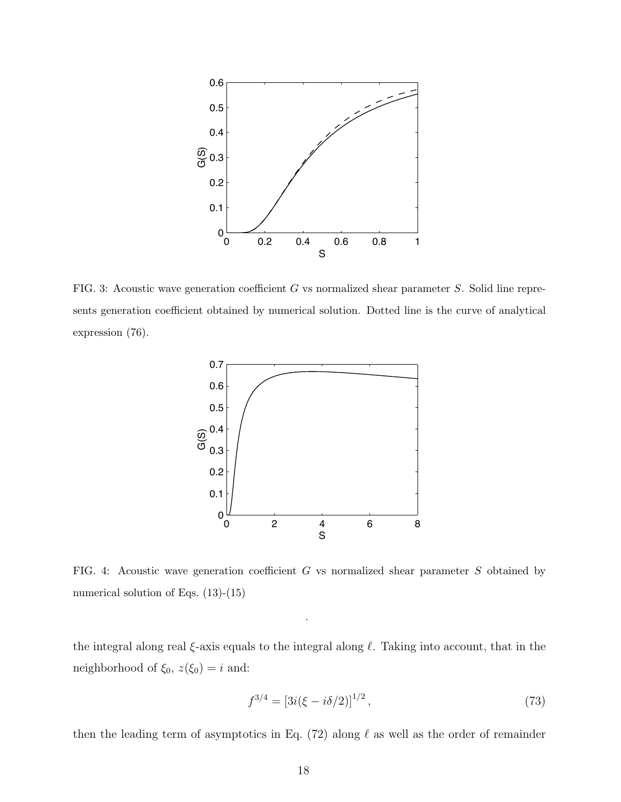

FIG. 3: Acoustic wave generation coefficient  $G$  vs normalized shear parameter  $S$ . Solid line represents generation coefficient obtained by numerical solution. Dotted line is the curve of analytical expression (76).



FIG. 4: Acoustic wave generation coefficient  $G$  vs normalized shear parameter  $S$  obtained by numerical solution of Eqs.  $(13)-(15)$ 

.

the integral along real  $\xi$ -axis equals to the integral along  $\ell$ . Taking into account, that in the neighborhood of  $\xi_0$ ,  $z(\xi_0) = i$  and:

$$
f^{3/4} = \left[3i(\xi - i\delta/2)\right]^{1/2},\tag{73}
$$

then the leading term of asymptotics in Eq.  $(72)$  along  $\ell$  as well as the order of remainder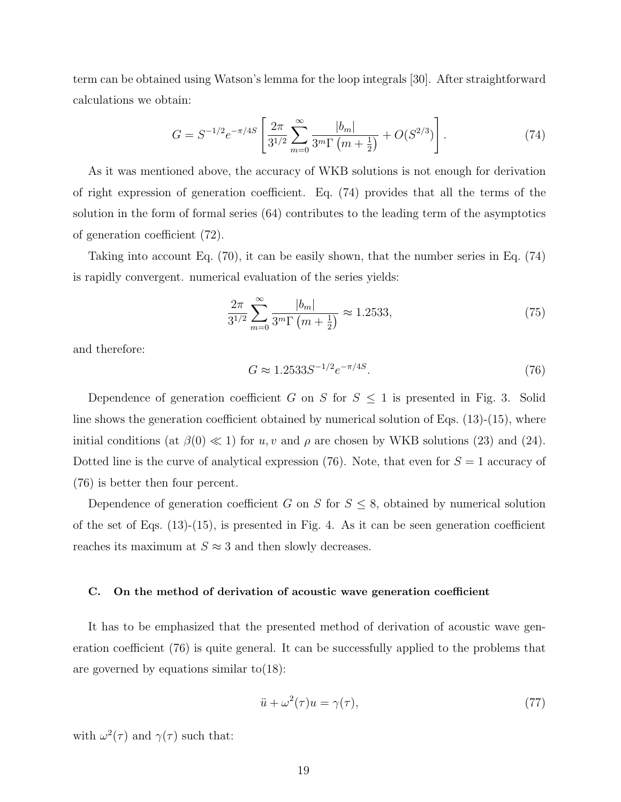term can be obtained using Watson's lemma for the loop integrals [30]. After straightforward calculations we obtain:

$$
G = S^{-1/2} e^{-\pi/4S} \left[ \frac{2\pi}{3^{1/2}} \sum_{m=0}^{\infty} \frac{|b_m|}{3^m \Gamma(m + \frac{1}{2})} + O(S^{2/3}) \right].
$$
 (74)

As it was mentioned above, the accuracy of WKB solutions is not enough for derivation of right expression of generation coefficient. Eq. (74) provides that all the terms of the solution in the form of formal series (64) contributes to the leading term of the asymptotics of generation coefficient (72).

Taking into account Eq. (70), it can be easily shown, that the number series in Eq. (74) is rapidly convergent. numerical evaluation of the series yields:

$$
\frac{2\pi}{3^{1/2}}\sum_{m=0}^{\infty}\frac{|b_m|}{3^m\Gamma\left(m+\frac{1}{2}\right)}\approx 1.2533,
$$
\n(75)

and therefore:

$$
G \approx 1.2533 S^{-1/2} e^{-\pi/4S}.
$$
\n(76)

Dependence of generation coefficient G on S for  $S \leq 1$  is presented in Fig. 3. Solid line shows the generation coefficient obtained by numerical solution of Eqs. (13)-(15), where initial conditions (at  $\beta(0) \ll 1$ ) for u, v and  $\rho$  are chosen by WKB solutions (23) and (24). Dotted line is the curve of analytical expression (76). Note, that even for  $S = 1$  accuracy of (76) is better then four percent.

Dependence of generation coefficient G on S for  $S \leq 8$ , obtained by numerical solution of the set of Eqs.  $(13)-(15)$ , is presented in Fig. 4. As it can be seen generation coefficient reaches its maximum at  $S \approx 3$  and then slowly decreases.

# C. On the method of derivation of acoustic wave generation coefficient

It has to be emphasized that the presented method of derivation of acoustic wave generation coefficient (76) is quite general. It can be successfully applied to the problems that are governed by equations similar to  $(18)$ :

$$
\ddot{u} + \omega^2(\tau)u = \gamma(\tau),\tag{77}
$$

with  $\omega^2(\tau)$  and  $\gamma(\tau)$  such that: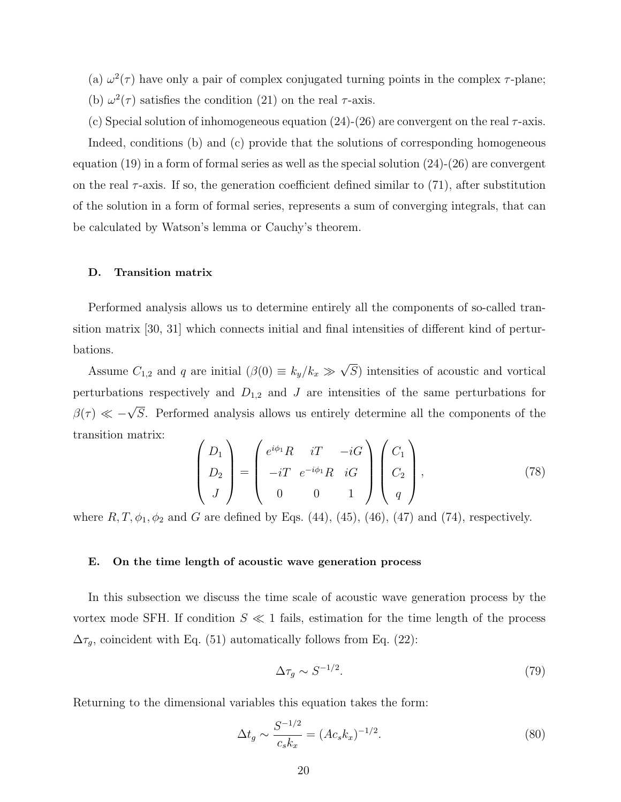(a)  $\omega^2(\tau)$  have only a pair of complex conjugated turning points in the complex  $\tau$ -plane; (b)  $\omega^2(\tau)$  satisfies the condition (21) on the real  $\tau$ -axis.

(c) Special solution of inhomogeneous equation  $(24)-(26)$  are convergent on the real  $\tau$ -axis.

Indeed, conditions (b) and (c) provide that the solutions of corresponding homogeneous equation  $(19)$  in a form of formal series as well as the special solution  $(24)-(26)$  are convergent on the real  $\tau$ -axis. If so, the generation coefficient defined similar to (71), after substitution of the solution in a form of formal series, represents a sum of converging integrals, that can be calculated by Watson's lemma or Cauchy's theorem.

# D. Transition matrix

Performed analysis allows us to determine entirely all the components of so-called transition matrix [30, 31] which connects initial and final intensities of different kind of perturbations.

Assume  $C_{1,2}$  and q are initial  $(\beta(0) \equiv k_y/k_x \gg \sqrt{S})$  intensities of acoustic and vortical perturbations respectively and  $D_{1,2}$  and J are intensities of the same perturbations for  $\beta(\tau) \ll -\sqrt{S}$ . Performed analysis allows us entirely determine all the components of the transition matrix:  $\sqrt{ }$ 

$$
\begin{pmatrix} D_1 \\ D_2 \\ J \end{pmatrix} = \begin{pmatrix} e^{i\phi_1} R & iT & -iG \\ -iT & e^{-i\phi_1} R & iG \\ 0 & 0 & 1 \end{pmatrix} \begin{pmatrix} C_1 \\ C_2 \\ q \end{pmatrix},
$$
(78)

where  $R, T, \phi_1, \phi_2$  and G are defined by Eqs. (44), (45), (46), (47) and (74), respectively.

## E. On the time length of acoustic wave generation process

In this subsection we discuss the time scale of acoustic wave generation process by the vortex mode SFH. If condition  $S \ll 1$  fails, estimation for the time length of the process  $\Delta \tau_g$ , coincident with Eq. (51) automatically follows from Eq. (22):

$$
\Delta \tau_g \sim S^{-1/2}.\tag{79}
$$

Returning to the dimensional variables this equation takes the form:

$$
\Delta t_g \sim \frac{S^{-1/2}}{c_s k_x} = (Ac_s k_x)^{-1/2}.
$$
\n(80)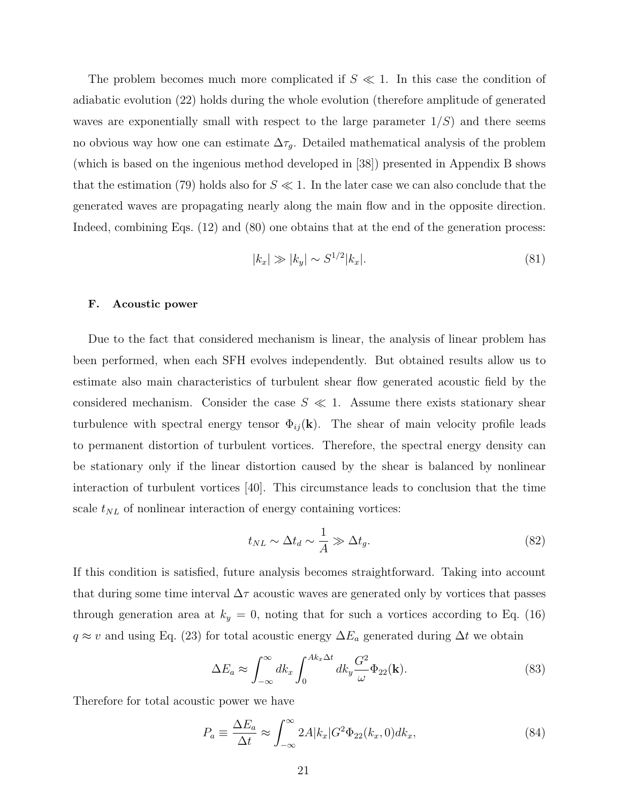The problem becomes much more complicated if  $S \ll 1$ . In this case the condition of adiabatic evolution (22) holds during the whole evolution (therefore amplitude of generated waves are exponentially small with respect to the large parameter  $1/S$ ) and there seems no obvious way how one can estimate  $\Delta \tau_g$ . Detailed mathematical analysis of the problem (which is based on the ingenious method developed in [38]) presented in Appendix B shows that the estimation (79) holds also for  $S \ll 1$ . In the later case we can also conclude that the generated waves are propagating nearly along the main flow and in the opposite direction. Indeed, combining Eqs. (12) and (80) one obtains that at the end of the generation process:

$$
|k_x| \gg |k_y| \sim S^{1/2} |k_x|.
$$
\n
$$
(81)
$$

# F. Acoustic power

Due to the fact that considered mechanism is linear, the analysis of linear problem has been performed, when each SFH evolves independently. But obtained results allow us to estimate also main characteristics of turbulent shear flow generated acoustic field by the considered mechanism. Consider the case  $S \ll 1$ . Assume there exists stationary shear turbulence with spectral energy tensor  $\Phi_{ij}(\mathbf{k})$ . The shear of main velocity profile leads to permanent distortion of turbulent vortices. Therefore, the spectral energy density can be stationary only if the linear distortion caused by the shear is balanced by nonlinear interaction of turbulent vortices [40]. This circumstance leads to conclusion that the time scale  $t_{NL}$  of nonlinear interaction of energy containing vortices:

$$
t_{NL} \sim \Delta t_d \sim \frac{1}{A} \gg \Delta t_g. \tag{82}
$$

If this condition is satisfied, future analysis becomes straightforward. Taking into account that during some time interval  $\Delta \tau$  acoustic waves are generated only by vortices that passes through generation area at  $k_y = 0$ , noting that for such a vortices according to Eq. (16)  $q \approx v$  and using Eq. (23) for total acoustic energy  $\Delta E_a$  generated during  $\Delta t$  we obtain

$$
\Delta E_a \approx \int_{-\infty}^{\infty} dk_x \int_0^{Ak_x \Delta t} dk_y \frac{G^2}{\omega} \Phi_{22}(\mathbf{k}). \tag{83}
$$

Therefore for total acoustic power we have

$$
P_a \equiv \frac{\Delta E_a}{\Delta t} \approx \int_{-\infty}^{\infty} 2A|k_x|G^2 \Phi_{22}(k_x, 0)dk_x,\tag{84}
$$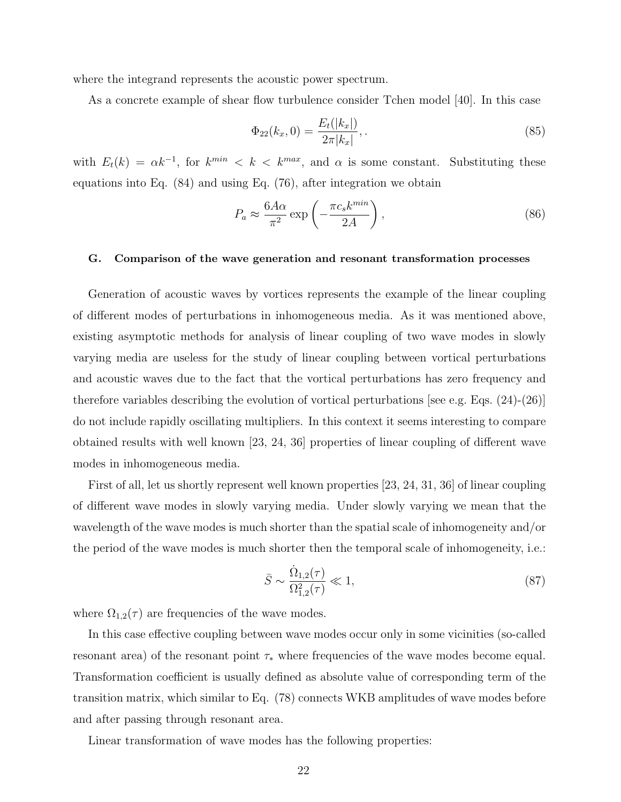where the integrand represents the acoustic power spectrum.

As a concrete example of shear flow turbulence consider Tchen model [40]. In this case

$$
\Phi_{22}(k_x, 0) = \frac{E_t(|k_x|)}{2\pi |k_x|},
$$
\n(85)

with  $E_t(k) = \alpha k^{-1}$ , for  $k^{min} < k < k^{max}$ , and  $\alpha$  is some constant. Substituting these equations into Eq. (84) and using Eq. (76), after integration we obtain

$$
P_a \approx \frac{6A\alpha}{\pi^2} \exp\left(-\frac{\pi c_s k^{min}}{2A}\right),\tag{86}
$$

#### G. Comparison of the wave generation and resonant transformation processes

Generation of acoustic waves by vortices represents the example of the linear coupling of different modes of perturbations in inhomogeneous media. As it was mentioned above, existing asymptotic methods for analysis of linear coupling of two wave modes in slowly varying media are useless for the study of linear coupling between vortical perturbations and acoustic waves due to the fact that the vortical perturbations has zero frequency and therefore variables describing the evolution of vortical perturbations [see e.g. Eqs. (24)-(26)] do not include rapidly oscillating multipliers. In this context it seems interesting to compare obtained results with well known [23, 24, 36] properties of linear coupling of different wave modes in inhomogeneous media.

First of all, let us shortly represent well known properties [23, 24, 31, 36] of linear coupling of different wave modes in slowly varying media. Under slowly varying we mean that the wavelength of the wave modes is much shorter than the spatial scale of inhomogeneity and/or the period of the wave modes is much shorter then the temporal scale of inhomogeneity, i.e.:

$$
\bar{S} \sim \frac{\dot{\Omega}_{1,2}(\tau)}{\Omega_{1,2}^2(\tau)} \ll 1,\tag{87}
$$

where  $\Omega_{1,2}(\tau)$  are frequencies of the wave modes.

In this case effective coupling between wave modes occur only in some vicinities (so-called resonant area) of the resonant point  $\tau_*$  where frequencies of the wave modes become equal. Transformation coefficient is usually defined as absolute value of corresponding term of the transition matrix, which similar to Eq. (78) connects WKB amplitudes of wave modes before and after passing through resonant area.

Linear transformation of wave modes has the following properties: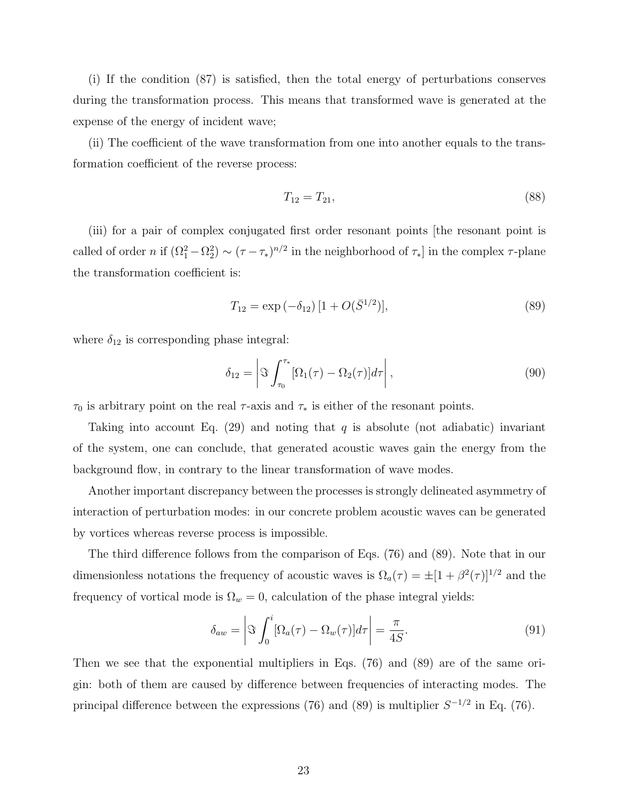(i) If the condition (87) is satisfied, then the total energy of perturbations conserves during the transformation process. This means that transformed wave is generated at the expense of the energy of incident wave;

(ii) The coefficient of the wave transformation from one into another equals to the transformation coefficient of the reverse process:

$$
T_{12} = T_{21}, \t\t(88)
$$

(iii) for a pair of complex conjugated first order resonant points [the resonant point is called of order n if  $(\Omega_1^2 - \Omega_2^2) \sim (\tau - \tau_*)^{n/2}$  in the neighborhood of  $\tau_*$  in the complex  $\tau$ -plane the transformation coefficient is:

$$
T_{12} = \exp(-\delta_{12}) \left[ 1 + O(\bar{S}^{1/2}) \right],\tag{89}
$$

where  $\delta_{12}$  is corresponding phase integral:

$$
\delta_{12} = \left| \Im \int_{\tau_0}^{\tau_*} [\Omega_1(\tau) - \Omega_2(\tau)] d\tau \right|,
$$
\n(90)

 $\tau_0$  is arbitrary point on the real  $\tau$ -axis and  $\tau_*$  is either of the resonant points.

Taking into account Eq.  $(29)$  and noting that q is absolute (not adiabatic) invariant of the system, one can conclude, that generated acoustic waves gain the energy from the background flow, in contrary to the linear transformation of wave modes.

Another important discrepancy between the processes is strongly delineated asymmetry of interaction of perturbation modes: in our concrete problem acoustic waves can be generated by vortices whereas reverse process is impossible.

The third difference follows from the comparison of Eqs. (76) and (89). Note that in our dimensionless notations the frequency of acoustic waves is  $\Omega_a(\tau) = \pm [1 + \beta^2(\tau)]^{1/2}$  and the frequency of vortical mode is  $\Omega_w = 0$ , calculation of the phase integral yields:

$$
\delta_{aw} = \left| \Im \int_0^i [\Omega_a(\tau) - \Omega_w(\tau)] d\tau \right| = \frac{\pi}{4S}.
$$
\n(91)

Then we see that the exponential multipliers in Eqs. (76) and (89) are of the same origin: both of them are caused by difference between frequencies of interacting modes. The principal difference between the expressions (76) and (89) is multiplier  $S^{-1/2}$  in Eq. (76).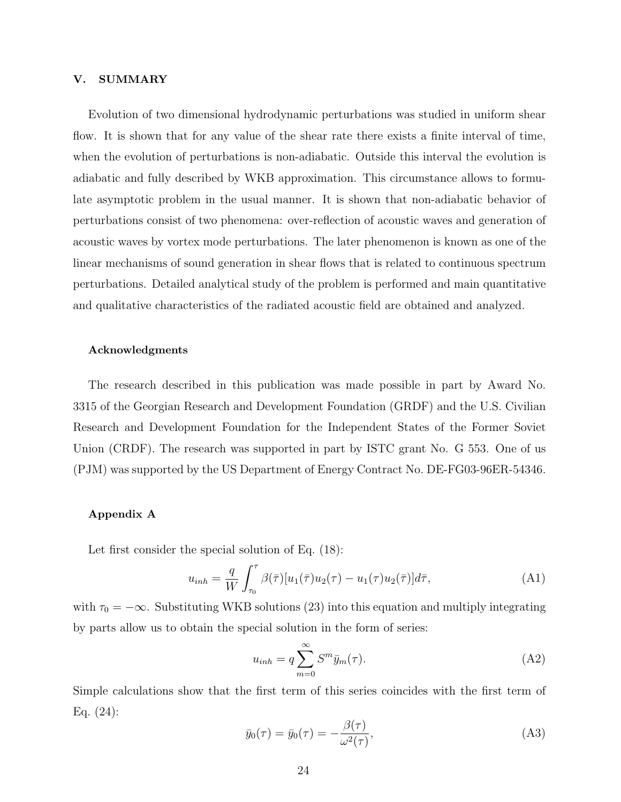# V. SUMMARY

Evolution of two dimensional hydrodynamic perturbations was studied in uniform shear flow. It is shown that for any value of the shear rate there exists a finite interval of time, when the evolution of perturbations is non-adiabatic. Outside this interval the evolution is adiabatic and fully described by WKB approximation. This circumstance allows to formulate asymptotic problem in the usual manner. It is shown that non-adiabatic behavior of perturbations consist of two phenomena: over-reflection of acoustic waves and generation of acoustic waves by vortex mode perturbations. The later phenomenon is known as one of the linear mechanisms of sound generation in shear flows that is related to continuous spectrum perturbations. Detailed analytical study of the problem is performed and main quantitative and qualitative characteristics of the radiated acoustic field are obtained and analyzed.

#### Acknowledgments

The research described in this publication was made possible in part by Award No. 3315 of the Georgian Research and Development Foundation (GRDF) and the U.S. Civilian Research and Development Foundation for the Independent States of the Former Soviet Union (CRDF). The research was supported in part by ISTC grant No. G 553. One of us (PJM) was supported by the US Department of Energy Contract No. DE-FG03-96ER-54346.

# Appendix A

Let first consider the special solution of Eq. (18):

$$
u_{inh} = \frac{q}{W} \int_{\tau_0}^{\tau} \beta(\bar{\tau}) [u_1(\bar{\tau}) u_2(\tau) - u_1(\tau) u_2(\bar{\tau})] d\bar{\tau}, \tag{A1}
$$

with  $\tau_0 = -\infty$ . Substituting WKB solutions (23) into this equation and multiply integrating by parts allow us to obtain the special solution in the form of series:

$$
u_{inh} = q \sum_{m=0}^{\infty} S^m \bar{y}_m(\tau). \tag{A2}
$$

Simple calculations show that the first term of this series coincides with the first term of Eq. (24):

$$
\bar{y}_0(\tau) = \bar{y}_0(\tau) = -\frac{\beta(\tau)}{\omega^2(\tau)},
$$
\n(A3)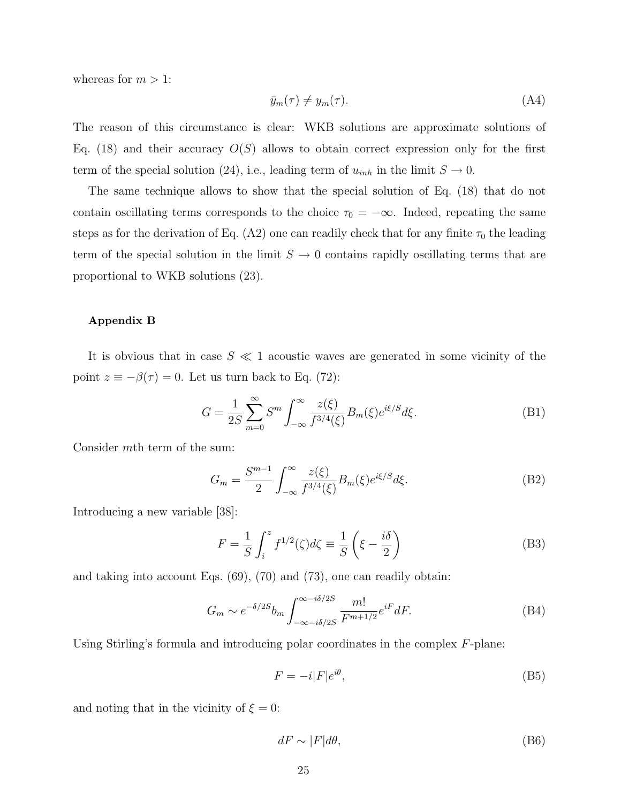whereas for  $m > 1$ :

$$
\bar{y}_m(\tau) \neq y_m(\tau). \tag{A4}
$$

The reason of this circumstance is clear: WKB solutions are approximate solutions of Eq. (18) and their accuracy  $O(S)$  allows to obtain correct expression only for the first term of the special solution (24), i.e., leading term of  $u_{inh}$  in the limit  $S \to 0$ .

The same technique allows to show that the special solution of Eq. (18) that do not contain oscillating terms corresponds to the choice  $\tau_0 = -\infty$ . Indeed, repeating the same steps as for the derivation of Eq. (A2) one can readily check that for any finite  $\tau_0$  the leading term of the special solution in the limit  $S \to 0$  contains rapidly oscillating terms that are proportional to WKB solutions (23).

#### Appendix B

It is obvious that in case  $S \ll 1$  acoustic waves are generated in some vicinity of the point  $z \equiv -\beta(\tau) = 0$ . Let us turn back to Eq. (72):

$$
G = \frac{1}{2S} \sum_{m=0}^{\infty} S^m \int_{-\infty}^{\infty} \frac{z(\xi)}{f^{3/4}(\xi)} B_m(\xi) e^{i\xi/S} d\xi.
$$
 (B1)

Consider mth term of the sum:

$$
G_m = \frac{S^{m-1}}{2} \int_{-\infty}^{\infty} \frac{z(\xi)}{f^{3/4}(\xi)} B_m(\xi) e^{i\xi/S} d\xi.
$$
 (B2)

Introducing a new variable [38]:

$$
F = \frac{1}{S} \int_{i}^{z} f^{1/2}(\zeta) d\zeta \equiv \frac{1}{S} \left( \xi - \frac{i\delta}{2} \right)
$$
(B3)

and taking into account Eqs. (69), (70) and (73), one can readily obtain:

$$
G_m \sim e^{-\delta/2S} b_m \int_{-\infty - i\delta/2S}^{\infty - i\delta/2S} \frac{m!}{F^{m+1/2}} e^{iF} dF.
$$
 (B4)

Using Stirling's formula and introducing polar coordinates in the complex F-plane:

$$
F = -i|F|e^{i\theta},\tag{B5}
$$

and noting that in the vicinity of  $\xi = 0$ :

$$
dF \sim |F|d\theta,\tag{B6}
$$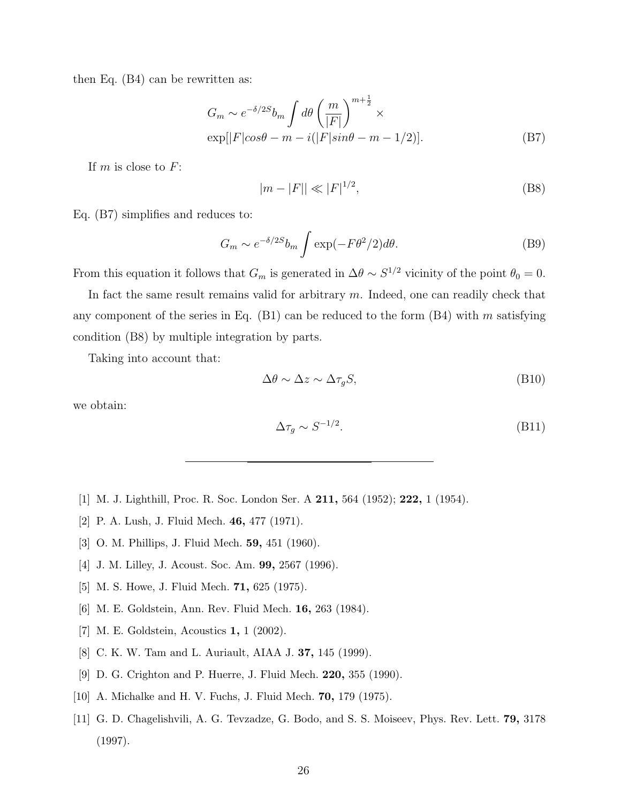then Eq. (B4) can be rewritten as:

$$
G_m \sim e^{-\delta/2S} b_m \int d\theta \left(\frac{m}{|F|}\right)^{m+\frac{1}{2}} \times \exp[|F| \cos\theta - m - i(|F| \sin\theta - m - 1/2)].
$$
 (B7)

If  $m$  is close to  $F$ :

$$
|m - |F|| \ll |F|^{1/2},\tag{B8}
$$

Eq. (B7) simplifies and reduces to:

$$
G_m \sim e^{-\delta/2S} b_m \int \exp(-F\theta^2/2)d\theta.
$$
 (B9)

From this equation it follows that  $G_m$  is generated in  $\Delta \theta \sim S^{1/2}$  vicinity of the point  $\theta_0 = 0$ .

In fact the same result remains valid for arbitrary  $m$ . Indeed, one can readily check that any component of the series in Eq.  $(B1)$  can be reduced to the form  $(B4)$  with m satisfying condition (B8) by multiple integration by parts.

Taking into account that:

$$
\Delta\theta \sim \Delta z \sim \Delta \tau_g S,\tag{B10}
$$

we obtain:

$$
\Delta \tau_g \sim S^{-1/2}.\tag{B11}
$$

- [1] M. J. Lighthill, Proc. R. Soc. London Ser. A 211, 564 (1952); 222, 1 (1954).
- [2] P. A. Lush, J. Fluid Mech. 46, 477 (1971).
- [3] O. M. Phillips, J. Fluid Mech. 59, 451 (1960).
- [4] J. M. Lilley, J. Acoust. Soc. Am. 99, 2567 (1996).
- [5] M. S. Howe, J. Fluid Mech. 71, 625 (1975).
- [6] M. E. Goldstein, Ann. Rev. Fluid Mech. 16, 263 (1984).
- [7] M. E. Goldstein, Acoustics **1,** 1 (2002).
- [8] C. K. W. Tam and L. Auriault, AIAA J. 37, 145 (1999).
- [9] D. G. Crighton and P. Huerre, J. Fluid Mech. 220, 355 (1990).
- [10] A. Michalke and H. V. Fuchs, J. Fluid Mech. 70, 179 (1975).
- [11] G. D. Chagelishvili, A. G. Tevzadze, G. Bodo, and S. S. Moiseev, Phys. Rev. Lett. 79, 3178 (1997).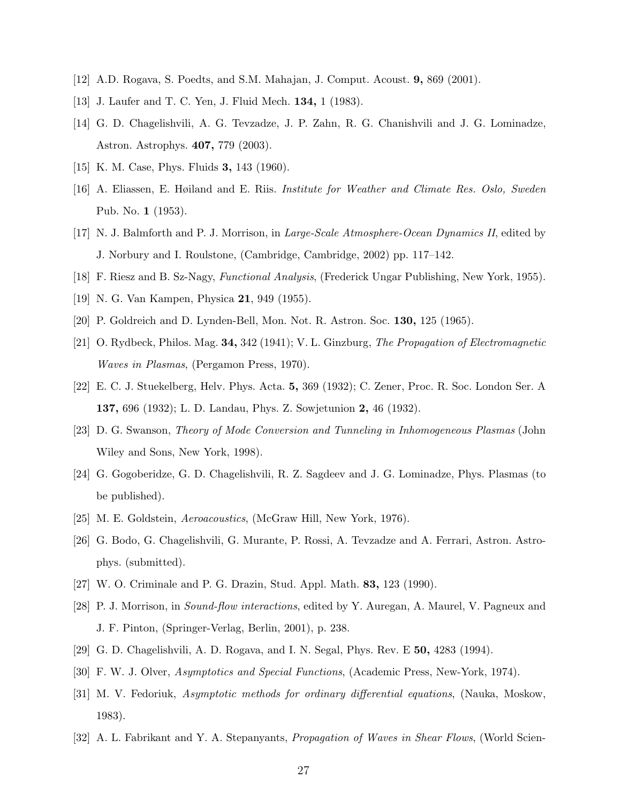- [12] A.D. Rogava, S. Poedts, and S.M. Mahajan, J. Comput. Acoust. 9, 869 (2001).
- [13] J. Laufer and T. C. Yen, J. Fluid Mech. 134, 1 (1983).
- [14] G. D. Chagelishvili, A. G. Tevzadze, J. P. Zahn, R. G. Chanishvili and J. G. Lominadze, Astron. Astrophys. 407, 779 (2003).
- [15] K. M. Case, Phys. Fluids **3**, 143 (1960).
- [16] A. Eliassen, E. Høiland and E. Riis. Institute for Weather and Climate Res. Oslo, Sweden Pub. No. 1 (1953).
- [17] N. J. Balmforth and P. J. Morrison, in Large-Scale Atmosphere-Ocean Dynamics II, edited by J. Norbury and I. Roulstone, (Cambridge, Cambridge, 2002) pp. 117–142.
- [18] F. Riesz and B. Sz-Nagy, Functional Analysis, (Frederick Ungar Publishing, New York, 1955).
- [19] N. G. Van Kampen, Physica 21, 949 (1955).
- [20] P. Goldreich and D. Lynden-Bell, Mon. Not. R. Astron. Soc. 130, 125 (1965).
- [21] O. Rydbeck, Philos. Mag. 34, 342 (1941); V. L. Ginzburg, The Propagation of Electromagnetic Waves in Plasmas, (Pergamon Press, 1970).
- [22] E. C. J. Stuekelberg, Helv. Phys. Acta. 5, 369 (1932); C. Zener, Proc. R. Soc. London Ser. A 137, 696 (1932); L. D. Landau, Phys. Z. Sowjetunion 2, 46 (1932).
- [23] D. G. Swanson, Theory of Mode Conversion and Tunneling in Inhomogeneous Plasmas (John Wiley and Sons, New York, 1998).
- [24] G. Gogoberidze, G. D. Chagelishvili, R. Z. Sagdeev and J. G. Lominadze, Phys. Plasmas (to be published).
- [25] M. E. Goldstein, Aeroacoustics, (McGraw Hill, New York, 1976).
- [26] G. Bodo, G. Chagelishvili, G. Murante, P. Rossi, A. Tevzadze and A. Ferrari, Astron. Astrophys. (submitted).
- [27] W. O. Criminale and P. G. Drazin, Stud. Appl. Math. 83, 123 (1990).
- [28] P. J. Morrison, in Sound-flow interactions, edited by Y. Auregan, A. Maurel, V. Pagneux and J. F. Pinton, (Springer-Verlag, Berlin, 2001), p. 238.
- [29] G. D. Chagelishvili, A. D. Rogava, and I. N. Segal, Phys. Rev. E 50, 4283 (1994).
- [30] F. W. J. Olver, Asymptotics and Special Functions, (Academic Press, New-York, 1974).
- [31] M. V. Fedoriuk, Asymptotic methods for ordinary differential equations, (Nauka, Moskow, 1983).
- [32] A. L. Fabrikant and Y. A. Stepanyants, Propagation of Waves in Shear Flows, (World Scien-